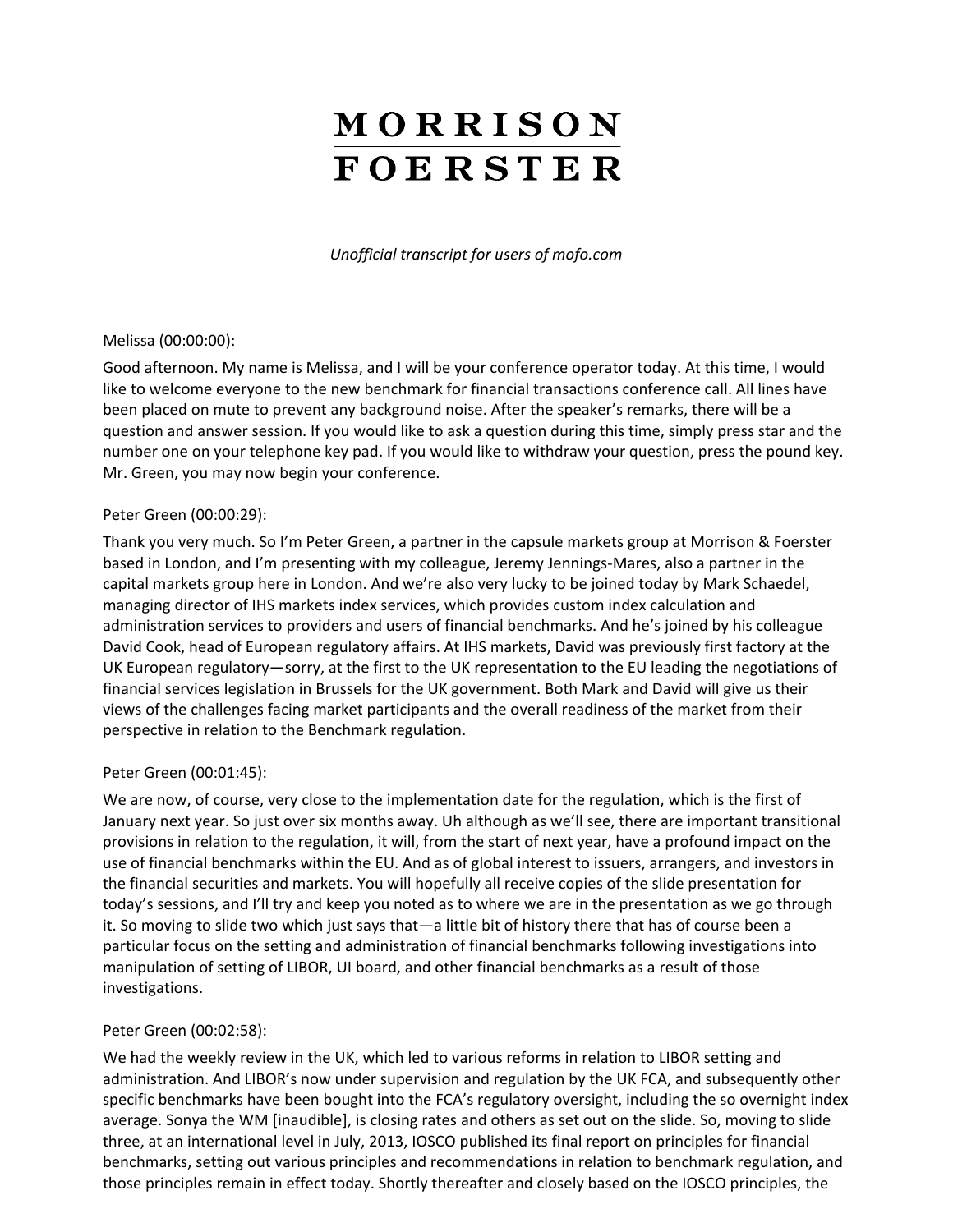# MORRISON **FOERSTER**

*Unofficial transcript for users of mofo.com*

#### Melissa (00:00:00):

Good afternoon. My name is Melissa, and I will be your conference operator today. At this time, I would like to welcome everyone to the new benchmark for financial transactions conference call. All lines have been placed on mute to prevent any background noise. After the speaker's remarks, there will be a question and answer session. If you would like to ask a question during this time, simply press star and the number one on your telephone key pad. If you would like to withdraw your question, press the pound key. Mr. Green, you may now begin your conference.

#### Peter Green (00:00:29):

Thank you very much. So I'm Peter Green, a partner in the capsule markets group at Morrison & Foerster based in London, and I'm presenting with my colleague, Jeremy Jennings-Mares, also a partner in the capital markets group here in London. And we're also very lucky to be joined today by Mark Schaedel, managing director of IHS markets index services, which provides custom index calculation and administration services to providers and users of financial benchmarks. And he's joined by his colleague David Cook, head of European regulatory affairs. At IHS markets, David was previously first factory at the UK European regulatory—sorry, at the first to the UK representation to the EU leading the negotiations of financial services legislation in Brussels for the UK government. Both Mark and David will give us their views of the challenges facing market participants and the overall readiness of the market from their perspective in relation to the Benchmark regulation.

## Peter Green (00:01:45):

We are now, of course, very close to the implementation date for the regulation, which is the first of January next year. So just over six months away. Uh although as we'll see, there are important transitional provisions in relation to the regulation, it will, from the start of next year, have a profound impact on the use of financial benchmarks within the EU. And as of global interest to issuers, arrangers, and investors in the financial securities and markets. You will hopefully all receive copies of the slide presentation for today's sessions, and I'll try and keep you noted as to where we are in the presentation as we go through it. So moving to slide two which just says that—a little bit of history there that has of course been a particular focus on the setting and administration of financial benchmarks following investigations into manipulation of setting of LIBOR, UI board, and other financial benchmarks as a result of those investigations.

## Peter Green (00:02:58):

We had the weekly review in the UK, which led to various reforms in relation to LIBOR setting and administration. And LIBOR's now under supervision and regulation by the UK FCA, and subsequently other specific benchmarks have been bought into the FCA's regulatory oversight, including the so overnight index average. Sonya the WM [inaudible], is closing rates and others as set out on the slide. So, moving to slide three, at an international level in July, 2013, IOSCO published its final report on principles for financial benchmarks, setting out various principles and recommendations in relation to benchmark regulation, and those principles remain in effect today. Shortly thereafter and closely based on the IOSCO principles, the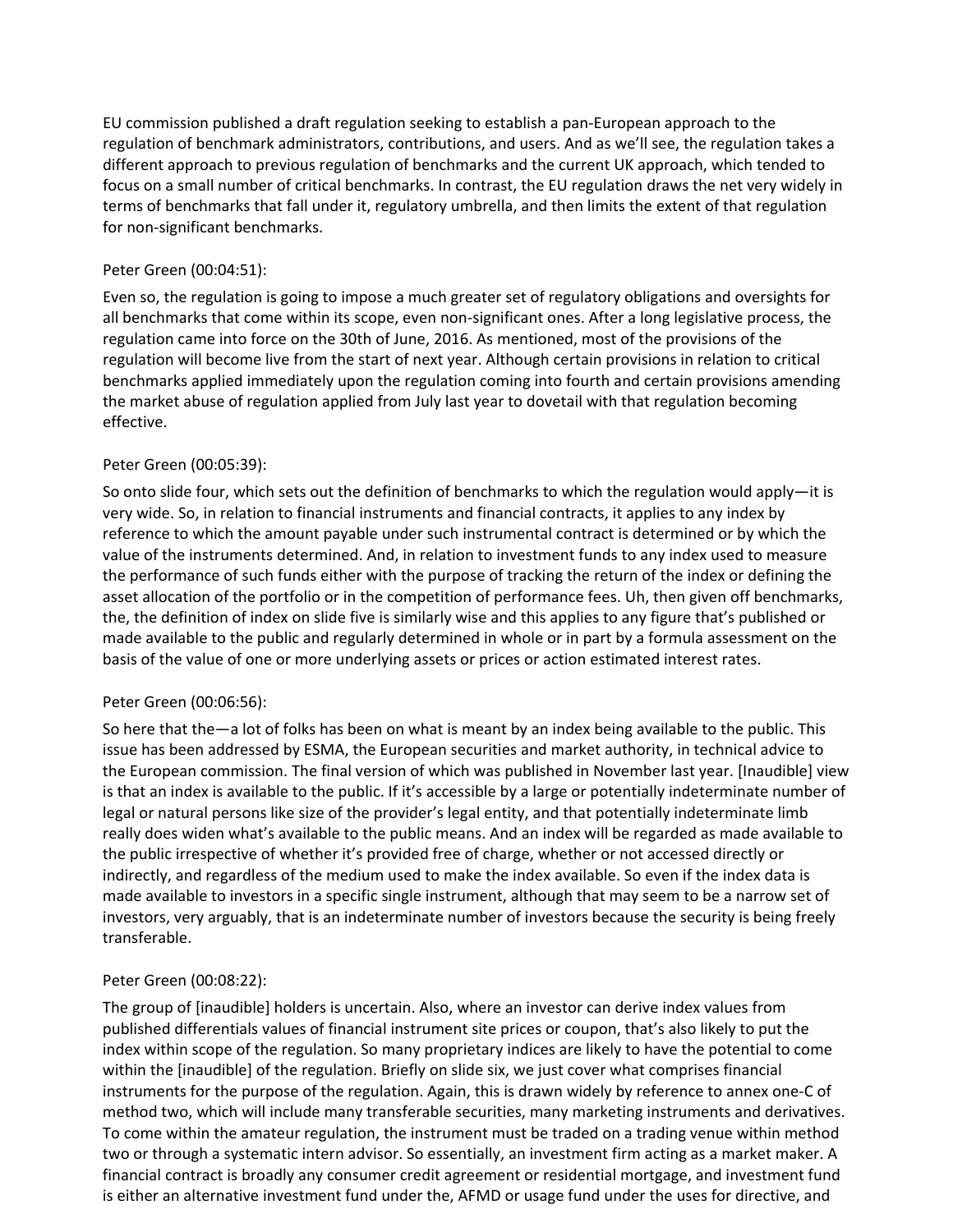EU commission published a draft regulation seeking to establish a pan-European approach to the regulation of benchmark administrators, contributions, and users. And as we'll see, the regulation takes a different approach to previous regulation of benchmarks and the current UK approach, which tended to focus on a small number of critical benchmarks. In contrast, the EU regulation draws the net very widely in terms of benchmarks that fall under it, regulatory umbrella, and then limits the extent of that regulation for non-significant benchmarks.

## Peter Green (00:04:51):

Even so, the regulation is going to impose a much greater set of regulatory obligations and oversights for all benchmarks that come within its scope, even non-significant ones. After a long legislative process, the regulation came into force on the 30th of June, 2016. As mentioned, most of the provisions of the regulation will become live from the start of next year. Although certain provisions in relation to critical benchmarks applied immediately upon the regulation coming into fourth and certain provisions amending the market abuse of regulation applied from July last year to dovetail with that regulation becoming effective.

## Peter Green (00:05:39):

So onto slide four, which sets out the definition of benchmarks to which the regulation would apply—it is very wide. So, in relation to financial instruments and financial contracts, it applies to any index by reference to which the amount payable under such instrumental contract is determined or by which the value of the instruments determined. And, in relation to investment funds to any index used to measure the performance of such funds either with the purpose of tracking the return of the index or defining the asset allocation of the portfolio or in the competition of performance fees. Uh, then given off benchmarks, the, the definition of index on slide five is similarly wise and this applies to any figure that's published or made available to the public and regularly determined in whole or in part by a formula assessment on the basis of the value of one or more underlying assets or prices or action estimated interest rates.

## Peter Green (00:06:56):

So here that the—a lot of folks has been on what is meant by an index being available to the public. This issue has been addressed by ESMA, the European securities and market authority, in technical advice to the European commission. The final version of which was published in November last year. [Inaudible] view is that an index is available to the public. If it's accessible by a large or potentially indeterminate number of legal or natural persons like size of the provider's legal entity, and that potentially indeterminate limb really does widen what's available to the public means. And an index will be regarded as made available to the public irrespective of whether it's provided free of charge, whether or not accessed directly or indirectly, and regardless of the medium used to make the index available. So even if the index data is made available to investors in a specific single instrument, although that may seem to be a narrow set of investors, very arguably, that is an indeterminate number of investors because the security is being freely transferable.

## Peter Green (00:08:22):

The group of [inaudible] holders is uncertain. Also, where an investor can derive index values from published differentials values of financial instrument site prices or coupon, that's also likely to put the index within scope of the regulation. So many proprietary indices are likely to have the potential to come within the [inaudible] of the regulation. Briefly on slide six, we just cover what comprises financial instruments for the purpose of the regulation. Again, this is drawn widely by reference to annex one-C of method two, which will include many transferable securities, many marketing instruments and derivatives. To come within the amateur regulation, the instrument must be traded on a trading venue within method two or through a systematic intern advisor. So essentially, an investment firm acting as a market maker. A financial contract is broadly any consumer credit agreement or residential mortgage, and investment fund is either an alternative investment fund under the, AFMD or usage fund under the uses for directive, and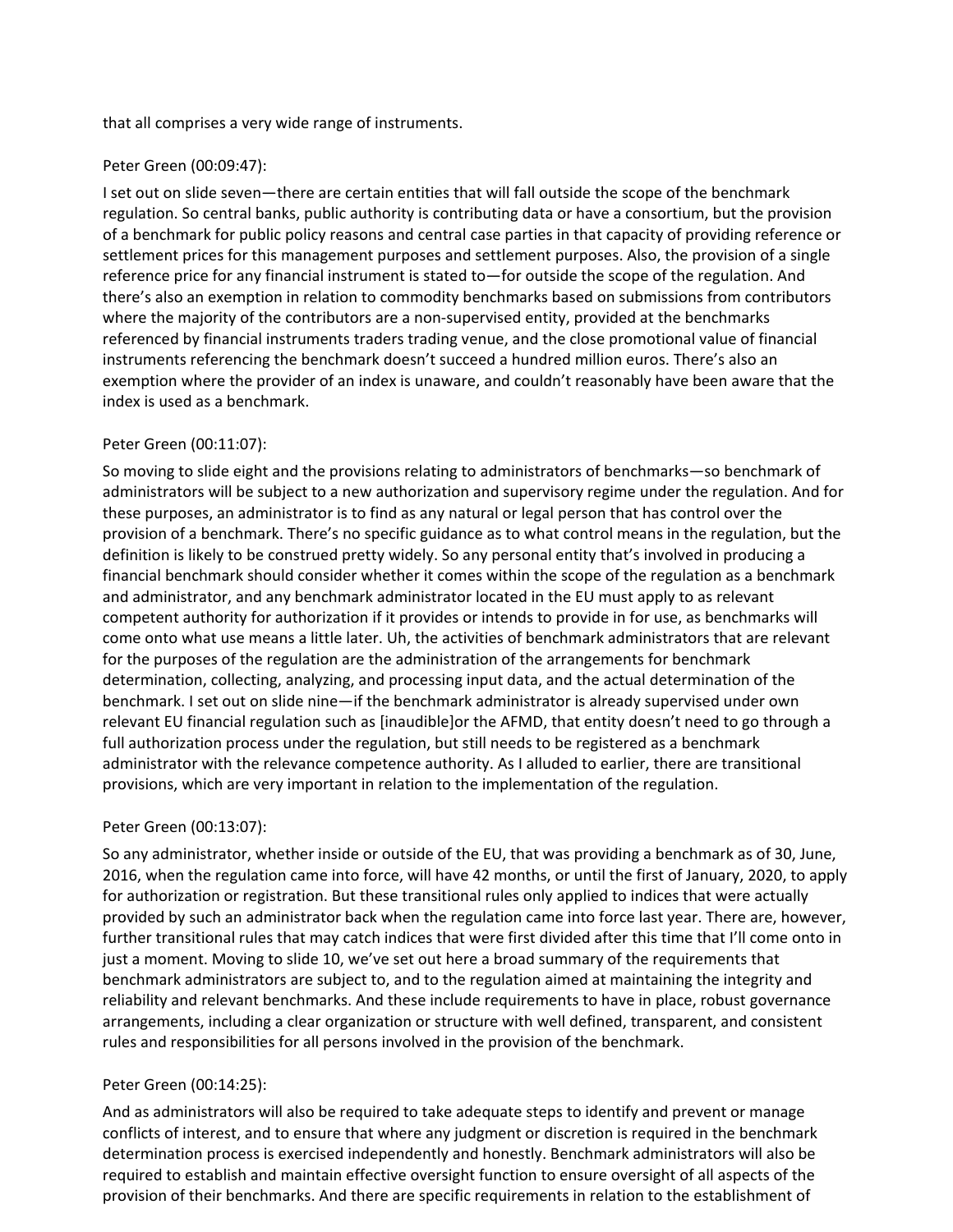that all comprises a very wide range of instruments.

## Peter Green (00:09:47):

I set out on slide seven—there are certain entities that will fall outside the scope of the benchmark regulation. So central banks, public authority is contributing data or have a consortium, but the provision of a benchmark for public policy reasons and central case parties in that capacity of providing reference or settlement prices for this management purposes and settlement purposes. Also, the provision of a single reference price for any financial instrument is stated to—for outside the scope of the regulation. And there's also an exemption in relation to commodity benchmarks based on submissions from contributors where the majority of the contributors are a non-supervised entity, provided at the benchmarks referenced by financial instruments traders trading venue, and the close promotional value of financial instruments referencing the benchmark doesn't succeed a hundred million euros. There's also an exemption where the provider of an index is unaware, and couldn't reasonably have been aware that the index is used as a benchmark.

## Peter Green (00:11:07):

So moving to slide eight and the provisions relating to administrators of benchmarks—so benchmark of administrators will be subject to a new authorization and supervisory regime under the regulation. And for these purposes, an administrator is to find as any natural or legal person that has control over the provision of a benchmark. There's no specific guidance as to what control means in the regulation, but the definition is likely to be construed pretty widely. So any personal entity that's involved in producing a financial benchmark should consider whether it comes within the scope of the regulation as a benchmark and administrator, and any benchmark administrator located in the EU must apply to as relevant competent authority for authorization if it provides or intends to provide in for use, as benchmarks will come onto what use means a little later. Uh, the activities of benchmark administrators that are relevant for the purposes of the regulation are the administration of the arrangements for benchmark determination, collecting, analyzing, and processing input data, and the actual determination of the benchmark. I set out on slide nine—if the benchmark administrator is already supervised under own relevant EU financial regulation such as [inaudible]or the AFMD, that entity doesn't need to go through a full authorization process under the regulation, but still needs to be registered as a benchmark administrator with the relevance competence authority. As I alluded to earlier, there are transitional provisions, which are very important in relation to the implementation of the regulation.

## Peter Green (00:13:07):

So any administrator, whether inside or outside of the EU, that was providing a benchmark as of 30, June, 2016, when the regulation came into force, will have 42 months, or until the first of January, 2020, to apply for authorization or registration. But these transitional rules only applied to indices that were actually provided by such an administrator back when the regulation came into force last year. There are, however, further transitional rules that may catch indices that were first divided after this time that I'll come onto in just a moment. Moving to slide 10, we've set out here a broad summary of the requirements that benchmark administrators are subject to, and to the regulation aimed at maintaining the integrity and reliability and relevant benchmarks. And these include requirements to have in place, robust governance arrangements, including a clear organization or structure with well defined, transparent, and consistent rules and responsibilities for all persons involved in the provision of the benchmark.

## Peter Green (00:14:25):

And as administrators will also be required to take adequate steps to identify and prevent or manage conflicts of interest, and to ensure that where any judgment or discretion is required in the benchmark determination process is exercised independently and honestly. Benchmark administrators will also be required to establish and maintain effective oversight function to ensure oversight of all aspects of the provision of their benchmarks. And there are specific requirements in relation to the establishment of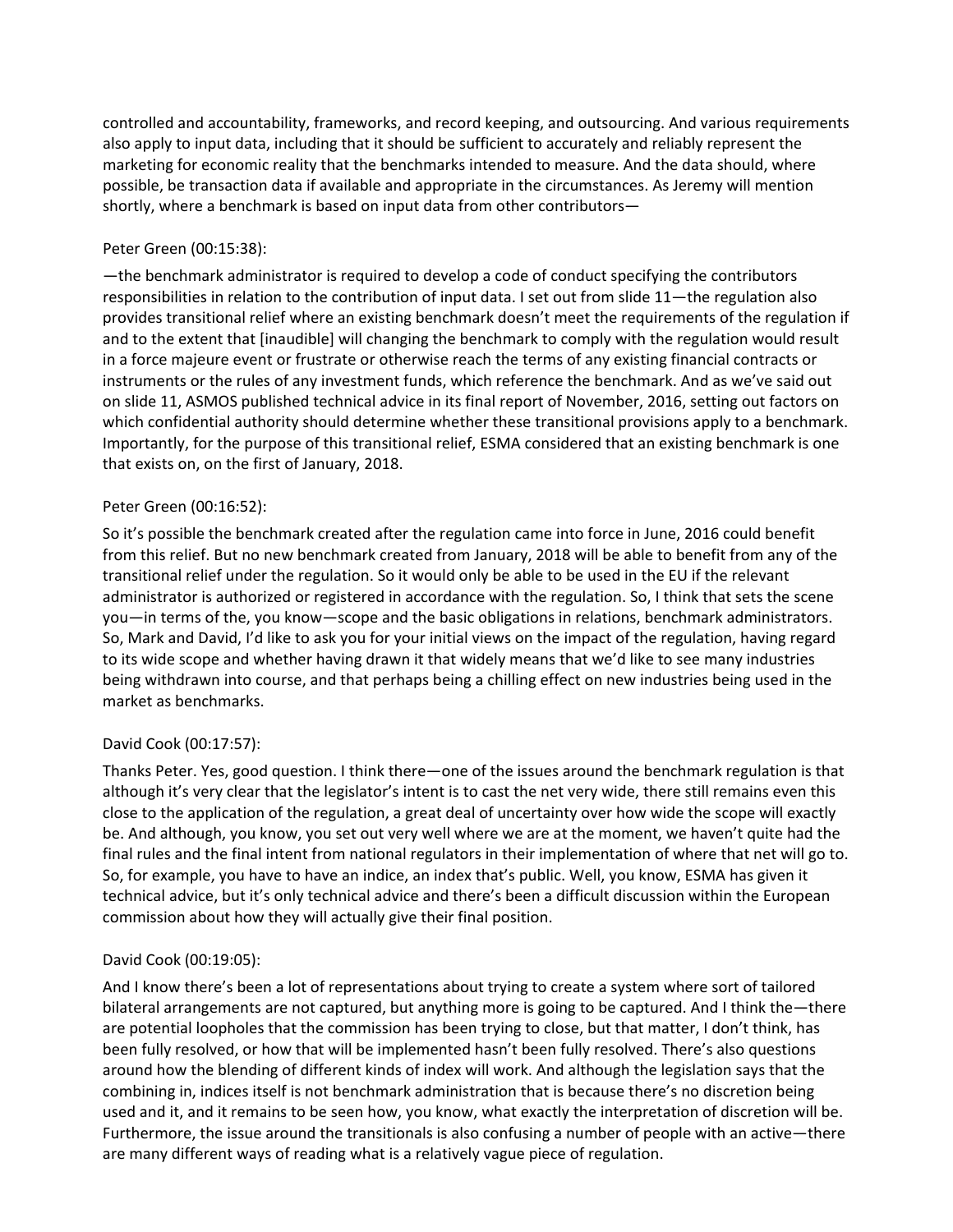controlled and accountability, frameworks, and record keeping, and outsourcing. And various requirements also apply to input data, including that it should be sufficient to accurately and reliably represent the marketing for economic reality that the benchmarks intended to measure. And the data should, where possible, be transaction data if available and appropriate in the circumstances. As Jeremy will mention shortly, where a benchmark is based on input data from other contributors—

## Peter Green (00:15:38):

—the benchmark administrator is required to develop a code of conduct specifying the contributors responsibilities in relation to the contribution of input data. I set out from slide 11—the regulation also provides transitional relief where an existing benchmark doesn't meet the requirements of the regulation if and to the extent that [inaudible] will changing the benchmark to comply with the regulation would result in a force majeure event or frustrate or otherwise reach the terms of any existing financial contracts or instruments or the rules of any investment funds, which reference the benchmark. And as we've said out on slide 11, ASMOS published technical advice in its final report of November, 2016, setting out factors on which confidential authority should determine whether these transitional provisions apply to a benchmark. Importantly, for the purpose of this transitional relief, ESMA considered that an existing benchmark is one that exists on, on the first of January, 2018.

## Peter Green (00:16:52):

So it's possible the benchmark created after the regulation came into force in June, 2016 could benefit from this relief. But no new benchmark created from January, 2018 will be able to benefit from any of the transitional relief under the regulation. So it would only be able to be used in the EU if the relevant administrator is authorized or registered in accordance with the regulation. So, I think that sets the scene you—in terms of the, you know—scope and the basic obligations in relations, benchmark administrators. So, Mark and David, I'd like to ask you for your initial views on the impact of the regulation, having regard to its wide scope and whether having drawn it that widely means that we'd like to see many industries being withdrawn into course, and that perhaps being a chilling effect on new industries being used in the market as benchmarks.

# David Cook (00:17:57):

Thanks Peter. Yes, good question. I think there—one of the issues around the benchmark regulation is that although it's very clear that the legislator's intent is to cast the net very wide, there still remains even this close to the application of the regulation, a great deal of uncertainty over how wide the scope will exactly be. And although, you know, you set out very well where we are at the moment, we haven't quite had the final rules and the final intent from national regulators in their implementation of where that net will go to. So, for example, you have to have an indice, an index that's public. Well, you know, ESMA has given it technical advice, but it's only technical advice and there's been a difficult discussion within the European commission about how they will actually give their final position.

# David Cook (00:19:05):

And I know there's been a lot of representations about trying to create a system where sort of tailored bilateral arrangements are not captured, but anything more is going to be captured. And I think the—there are potential loopholes that the commission has been trying to close, but that matter, I don't think, has been fully resolved, or how that will be implemented hasn't been fully resolved. There's also questions around how the blending of different kinds of index will work. And although the legislation says that the combining in, indices itself is not benchmark administration that is because there's no discretion being used and it, and it remains to be seen how, you know, what exactly the interpretation of discretion will be. Furthermore, the issue around the transitionals is also confusing a number of people with an active—there are many different ways of reading what is a relatively vague piece of regulation.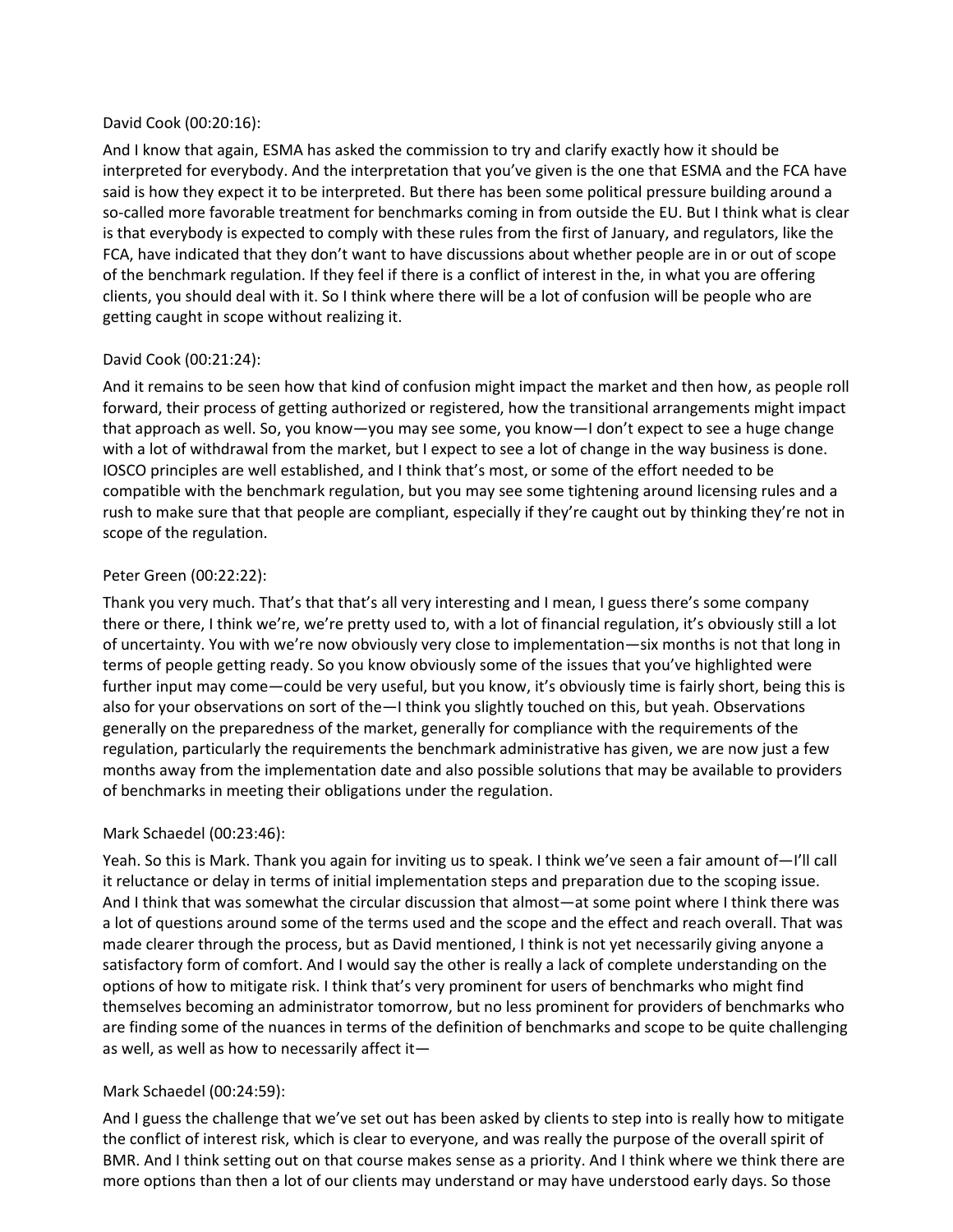#### David Cook (00:20:16):

And I know that again, ESMA has asked the commission to try and clarify exactly how it should be interpreted for everybody. And the interpretation that you've given is the one that ESMA and the FCA have said is how they expect it to be interpreted. But there has been some political pressure building around a so-called more favorable treatment for benchmarks coming in from outside the EU. But I think what is clear is that everybody is expected to comply with these rules from the first of January, and regulators, like the FCA, have indicated that they don't want to have discussions about whether people are in or out of scope of the benchmark regulation. If they feel if there is a conflict of interest in the, in what you are offering clients, you should deal with it. So I think where there will be a lot of confusion will be people who are getting caught in scope without realizing it.

## David Cook (00:21:24):

And it remains to be seen how that kind of confusion might impact the market and then how, as people roll forward, their process of getting authorized or registered, how the transitional arrangements might impact that approach as well. So, you know—you may see some, you know—I don't expect to see a huge change with a lot of withdrawal from the market, but I expect to see a lot of change in the way business is done. IOSCO principles are well established, and I think that's most, or some of the effort needed to be compatible with the benchmark regulation, but you may see some tightening around licensing rules and a rush to make sure that that people are compliant, especially if they're caught out by thinking they're not in scope of the regulation.

## Peter Green (00:22:22):

Thank you very much. That's that that's all very interesting and I mean, I guess there's some company there or there, I think we're, we're pretty used to, with a lot of financial regulation, it's obviously still a lot of uncertainty. You with we're now obviously very close to implementation—six months is not that long in terms of people getting ready. So you know obviously some of the issues that you've highlighted were further input may come—could be very useful, but you know, it's obviously time is fairly short, being this is also for your observations on sort of the—I think you slightly touched on this, but yeah. Observations generally on the preparedness of the market, generally for compliance with the requirements of the regulation, particularly the requirements the benchmark administrative has given, we are now just a few months away from the implementation date and also possible solutions that may be available to providers of benchmarks in meeting their obligations under the regulation.

## Mark Schaedel (00:23:46):

Yeah. So this is Mark. Thank you again for inviting us to speak. I think we've seen a fair amount of—I'll call it reluctance or delay in terms of initial implementation steps and preparation due to the scoping issue. And I think that was somewhat the circular discussion that almost—at some point where I think there was a lot of questions around some of the terms used and the scope and the effect and reach overall. That was made clearer through the process, but as David mentioned, I think is not yet necessarily giving anyone a satisfactory form of comfort. And I would say the other is really a lack of complete understanding on the options of how to mitigate risk. I think that's very prominent for users of benchmarks who might find themselves becoming an administrator tomorrow, but no less prominent for providers of benchmarks who are finding some of the nuances in terms of the definition of benchmarks and scope to be quite challenging as well, as well as how to necessarily affect it—

# Mark Schaedel (00:24:59):

And I guess the challenge that we've set out has been asked by clients to step into is really how to mitigate the conflict of interest risk, which is clear to everyone, and was really the purpose of the overall spirit of BMR. And I think setting out on that course makes sense as a priority. And I think where we think there are more options than then a lot of our clients may understand or may have understood early days. So those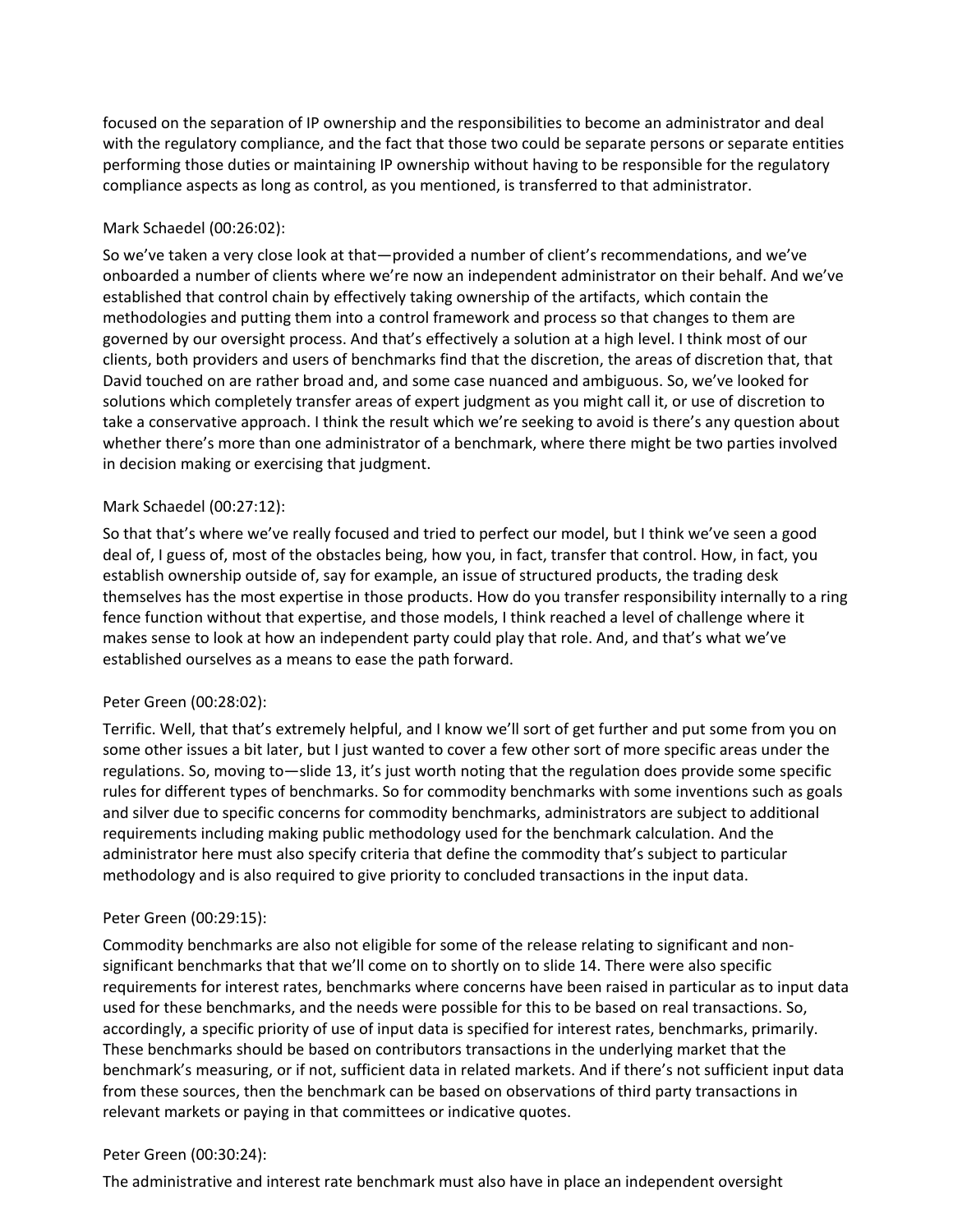focused on the separation of IP ownership and the responsibilities to become an administrator and deal with the regulatory compliance, and the fact that those two could be separate persons or separate entities performing those duties or maintaining IP ownership without having to be responsible for the regulatory compliance aspects as long as control, as you mentioned, is transferred to that administrator.

## Mark Schaedel (00:26:02):

So we've taken a very close look at that—provided a number of client's recommendations, and we've onboarded a number of clients where we're now an independent administrator on their behalf. And we've established that control chain by effectively taking ownership of the artifacts, which contain the methodologies and putting them into a control framework and process so that changes to them are governed by our oversight process. And that's effectively a solution at a high level. I think most of our clients, both providers and users of benchmarks find that the discretion, the areas of discretion that, that David touched on are rather broad and, and some case nuanced and ambiguous. So, we've looked for solutions which completely transfer areas of expert judgment as you might call it, or use of discretion to take a conservative approach. I think the result which we're seeking to avoid is there's any question about whether there's more than one administrator of a benchmark, where there might be two parties involved in decision making or exercising that judgment.

## Mark Schaedel (00:27:12):

So that that's where we've really focused and tried to perfect our model, but I think we've seen a good deal of, I guess of, most of the obstacles being, how you, in fact, transfer that control. How, in fact, you establish ownership outside of, say for example, an issue of structured products, the trading desk themselves has the most expertise in those products. How do you transfer responsibility internally to a ring fence function without that expertise, and those models, I think reached a level of challenge where it makes sense to look at how an independent party could play that role. And, and that's what we've established ourselves as a means to ease the path forward.

# Peter Green (00:28:02):

Terrific. Well, that that's extremely helpful, and I know we'll sort of get further and put some from you on some other issues a bit later, but I just wanted to cover a few other sort of more specific areas under the regulations. So, moving to—slide 13, it's just worth noting that the regulation does provide some specific rules for different types of benchmarks. So for commodity benchmarks with some inventions such as goals and silver due to specific concerns for commodity benchmarks, administrators are subject to additional requirements including making public methodology used for the benchmark calculation. And the administrator here must also specify criteria that define the commodity that's subject to particular methodology and is also required to give priority to concluded transactions in the input data.

## Peter Green (00:29:15):

Commodity benchmarks are also not eligible for some of the release relating to significant and nonsignificant benchmarks that that we'll come on to shortly on to slide 14. There were also specific requirements for interest rates, benchmarks where concerns have been raised in particular as to input data used for these benchmarks, and the needs were possible for this to be based on real transactions. So, accordingly, a specific priority of use of input data is specified for interest rates, benchmarks, primarily. These benchmarks should be based on contributors transactions in the underlying market that the benchmark's measuring, or if not, sufficient data in related markets. And if there's not sufficient input data from these sources, then the benchmark can be based on observations of third party transactions in relevant markets or paying in that committees or indicative quotes.

## Peter Green (00:30:24):

The administrative and interest rate benchmark must also have in place an independent oversight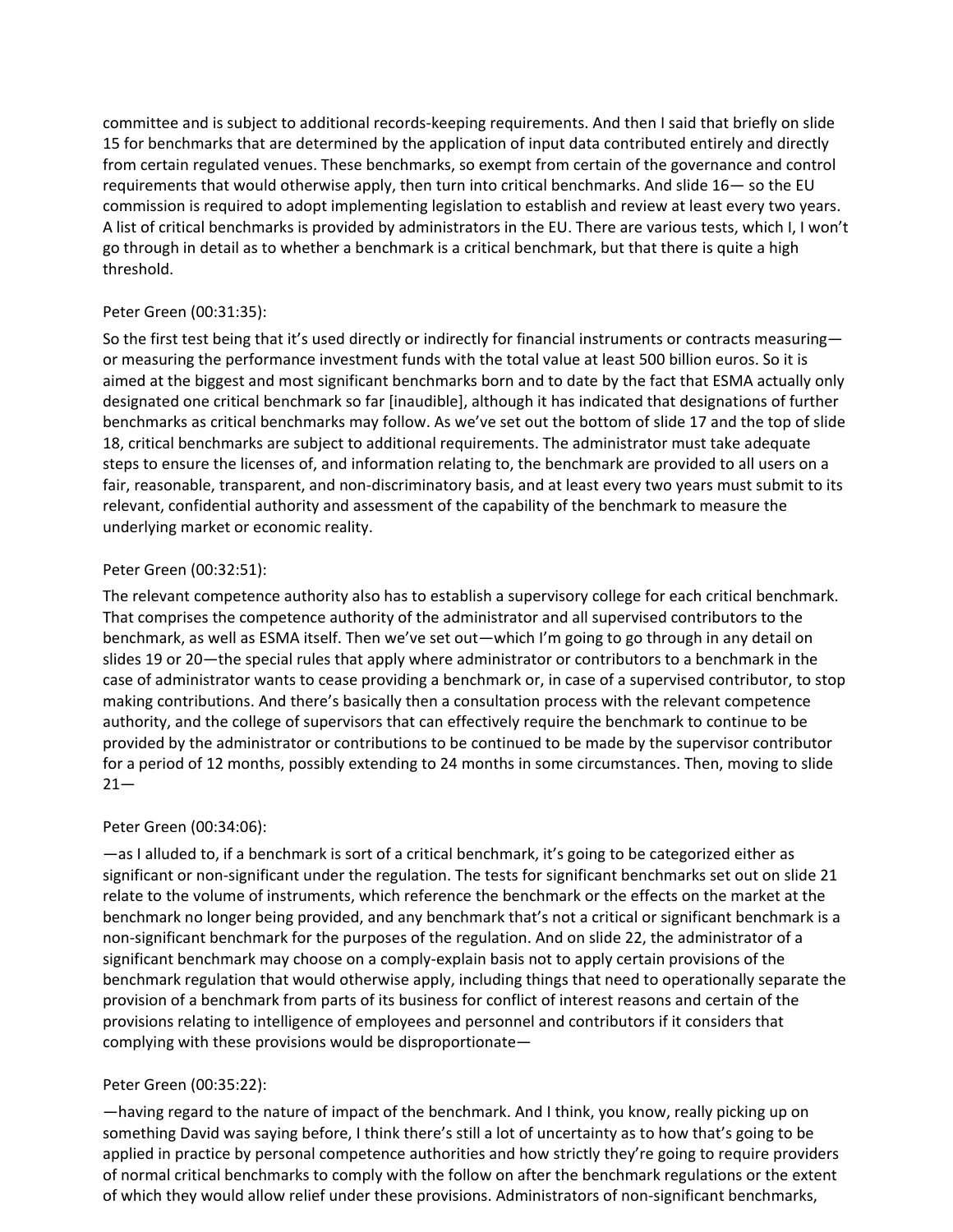committee and is subject to additional records-keeping requirements. And then I said that briefly on slide 15 for benchmarks that are determined by the application of input data contributed entirely and directly from certain regulated venues. These benchmarks, so exempt from certain of the governance and control requirements that would otherwise apply, then turn into critical benchmarks. And slide 16— so the EU commission is required to adopt implementing legislation to establish and review at least every two years. A list of critical benchmarks is provided by administrators in the EU. There are various tests, which I, I won't go through in detail as to whether a benchmark is a critical benchmark, but that there is quite a high threshold.

## Peter Green (00:31:35):

So the first test being that it's used directly or indirectly for financial instruments or contracts measuring or measuring the performance investment funds with the total value at least 500 billion euros. So it is aimed at the biggest and most significant benchmarks born and to date by the fact that ESMA actually only designated one critical benchmark so far [inaudible], although it has indicated that designations of further benchmarks as critical benchmarks may follow. As we've set out the bottom of slide 17 and the top of slide 18, critical benchmarks are subject to additional requirements. The administrator must take adequate steps to ensure the licenses of, and information relating to, the benchmark are provided to all users on a fair, reasonable, transparent, and non-discriminatory basis, and at least every two years must submit to its relevant, confidential authority and assessment of the capability of the benchmark to measure the underlying market or economic reality.

## Peter Green (00:32:51):

The relevant competence authority also has to establish a supervisory college for each critical benchmark. That comprises the competence authority of the administrator and all supervised contributors to the benchmark, as well as ESMA itself. Then we've set out—which I'm going to go through in any detail on slides 19 or 20—the special rules that apply where administrator or contributors to a benchmark in the case of administrator wants to cease providing a benchmark or, in case of a supervised contributor, to stop making contributions. And there's basically then a consultation process with the relevant competence authority, and the college of supervisors that can effectively require the benchmark to continue to be provided by the administrator or contributions to be continued to be made by the supervisor contributor for a period of 12 months, possibly extending to 24 months in some circumstances. Then, moving to slide  $21 -$ 

# Peter Green (00:34:06):

—as I alluded to, if a benchmark is sort of a critical benchmark, it's going to be categorized either as significant or non-significant under the regulation. The tests for significant benchmarks set out on slide 21 relate to the volume of instruments, which reference the benchmark or the effects on the market at the benchmark no longer being provided, and any benchmark that's not a critical or significant benchmark is a non-significant benchmark for the purposes of the regulation. And on slide 22, the administrator of a significant benchmark may choose on a comply-explain basis not to apply certain provisions of the benchmark regulation that would otherwise apply, including things that need to operationally separate the provision of a benchmark from parts of its business for conflict of interest reasons and certain of the provisions relating to intelligence of employees and personnel and contributors if it considers that complying with these provisions would be disproportionate—

# Peter Green (00:35:22):

—having regard to the nature of impact of the benchmark. And I think, you know, really picking up on something David was saying before, I think there's still a lot of uncertainty as to how that's going to be applied in practice by personal competence authorities and how strictly they're going to require providers of normal critical benchmarks to comply with the follow on after the benchmark regulations or the extent of which they would allow relief under these provisions. Administrators of non-significant benchmarks,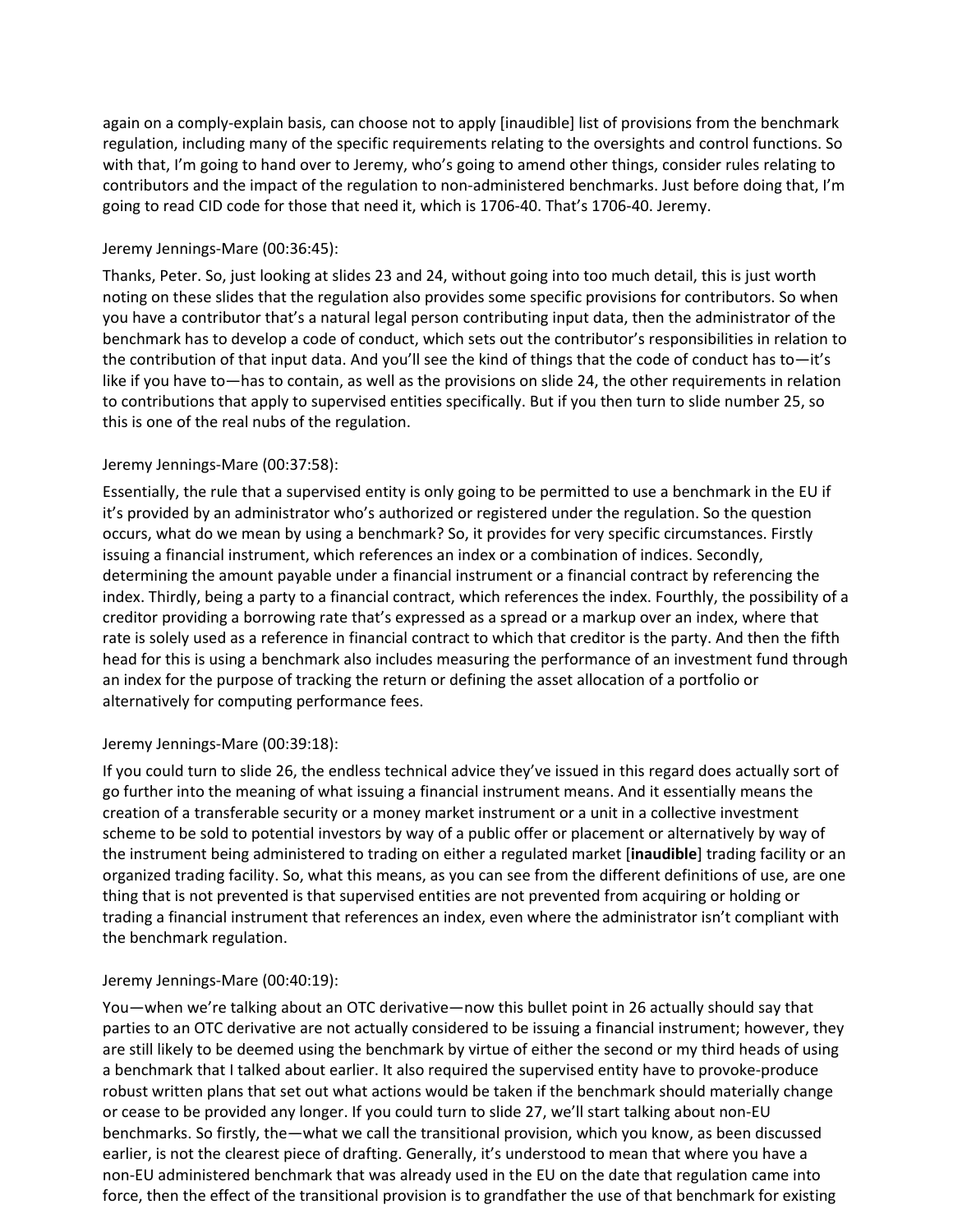again on a comply-explain basis, can choose not to apply [inaudible] list of provisions from the benchmark regulation, including many of the specific requirements relating to the oversights and control functions. So with that, I'm going to hand over to Jeremy, who's going to amend other things, consider rules relating to contributors and the impact of the regulation to non-administered benchmarks. Just before doing that, I'm going to read CID code for those that need it, which is 1706-40. That's 1706-40. Jeremy.

## Jeremy Jennings-Mare (00:36:45):

Thanks, Peter. So, just looking at slides 23 and 24, without going into too much detail, this is just worth noting on these slides that the regulation also provides some specific provisions for contributors. So when you have a contributor that's a natural legal person contributing input data, then the administrator of the benchmark has to develop a code of conduct, which sets out the contributor's responsibilities in relation to the contribution of that input data. And you'll see the kind of things that the code of conduct has to—it's like if you have to—has to contain, as well as the provisions on slide 24, the other requirements in relation to contributions that apply to supervised entities specifically. But if you then turn to slide number 25, so this is one of the real nubs of the regulation.

## Jeremy Jennings-Mare (00:37:58):

Essentially, the rule that a supervised entity is only going to be permitted to use a benchmark in the EU if it's provided by an administrator who's authorized or registered under the regulation. So the question occurs, what do we mean by using a benchmark? So, it provides for very specific circumstances. Firstly issuing a financial instrument, which references an index or a combination of indices. Secondly, determining the amount payable under a financial instrument or a financial contract by referencing the index. Thirdly, being a party to a financial contract, which references the index. Fourthly, the possibility of a creditor providing a borrowing rate that's expressed as a spread or a markup over an index, where that rate is solely used as a reference in financial contract to which that creditor is the party. And then the fifth head for this is using a benchmark also includes measuring the performance of an investment fund through an index for the purpose of tracking the return or defining the asset allocation of a portfolio or alternatively for computing performance fees.

## Jeremy Jennings-Mare (00:39:18):

If you could turn to slide 26, the endless technical advice they've issued in this regard does actually sort of go further into the meaning of what issuing a financial instrument means. And it essentially means the creation of a transferable security or a money market instrument or a unit in a collective investment scheme to be sold to potential investors by way of a public offer or placement or alternatively by way of the instrument being administered to trading on either a regulated market [**inaudible**] trading facility or an organized trading facility. So, what this means, as you can see from the different definitions of use, are one thing that is not prevented is that supervised entities are not prevented from acquiring or holding or trading a financial instrument that references an index, even where the administrator isn't compliant with the benchmark regulation.

## Jeremy Jennings-Mare (00:40:19):

You—when we're talking about an OTC derivative—now this bullet point in 26 actually should say that parties to an OTC derivative are not actually considered to be issuing a financial instrument; however, they are still likely to be deemed using the benchmark by virtue of either the second or my third heads of using a benchmark that I talked about earlier. It also required the supervised entity have to provoke-produce robust written plans that set out what actions would be taken if the benchmark should materially change or cease to be provided any longer. If you could turn to slide 27, we'll start talking about non-EU benchmarks. So firstly, the—what we call the transitional provision, which you know, as been discussed earlier, is not the clearest piece of drafting. Generally, it's understood to mean that where you have a non-EU administered benchmark that was already used in the EU on the date that regulation came into force, then the effect of the transitional provision is to grandfather the use of that benchmark for existing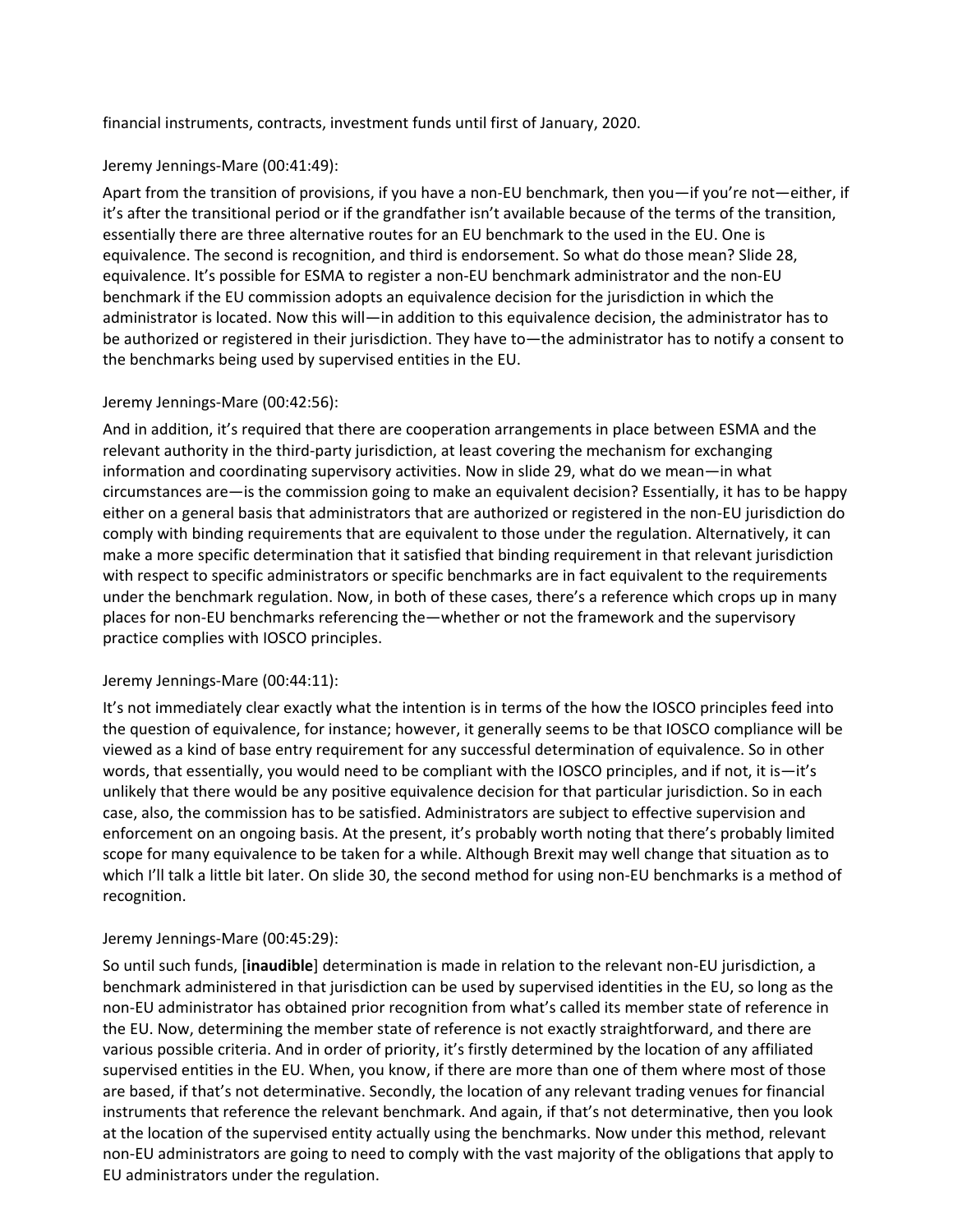financial instruments, contracts, investment funds until first of January, 2020.

## Jeremy Jennings-Mare (00:41:49):

Apart from the transition of provisions, if you have a non-EU benchmark, then you—if you're not—either, if it's after the transitional period or if the grandfather isn't available because of the terms of the transition, essentially there are three alternative routes for an EU benchmark to the used in the EU. One is equivalence. The second is recognition, and third is endorsement. So what do those mean? Slide 28, equivalence. It's possible for ESMA to register a non-EU benchmark administrator and the non-EU benchmark if the EU commission adopts an equivalence decision for the jurisdiction in which the administrator is located. Now this will—in addition to this equivalence decision, the administrator has to be authorized or registered in their jurisdiction. They have to—the administrator has to notify a consent to the benchmarks being used by supervised entities in the EU.

## Jeremy Jennings-Mare (00:42:56):

And in addition, it's required that there are cooperation arrangements in place between ESMA and the relevant authority in the third-party jurisdiction, at least covering the mechanism for exchanging information and coordinating supervisory activities. Now in slide 29, what do we mean—in what circumstances are—is the commission going to make an equivalent decision? Essentially, it has to be happy either on a general basis that administrators that are authorized or registered in the non-EU jurisdiction do comply with binding requirements that are equivalent to those under the regulation. Alternatively, it can make a more specific determination that it satisfied that binding requirement in that relevant jurisdiction with respect to specific administrators or specific benchmarks are in fact equivalent to the requirements under the benchmark regulation. Now, in both of these cases, there's a reference which crops up in many places for non-EU benchmarks referencing the—whether or not the framework and the supervisory practice complies with IOSCO principles.

## Jeremy Jennings-Mare (00:44:11):

It's not immediately clear exactly what the intention is in terms of the how the IOSCO principles feed into the question of equivalence, for instance; however, it generally seems to be that IOSCO compliance will be viewed as a kind of base entry requirement for any successful determination of equivalence. So in other words, that essentially, you would need to be compliant with the IOSCO principles, and if not, it is—it's unlikely that there would be any positive equivalence decision for that particular jurisdiction. So in each case, also, the commission has to be satisfied. Administrators are subject to effective supervision and enforcement on an ongoing basis. At the present, it's probably worth noting that there's probably limited scope for many equivalence to be taken for a while. Although Brexit may well change that situation as to which I'll talk a little bit later. On slide 30, the second method for using non-EU benchmarks is a method of recognition.

#### Jeremy Jennings-Mare (00:45:29):

So until such funds, [**inaudible**] determination is made in relation to the relevant non-EU jurisdiction, a benchmark administered in that jurisdiction can be used by supervised identities in the EU, so long as the non-EU administrator has obtained prior recognition from what's called its member state of reference in the EU. Now, determining the member state of reference is not exactly straightforward, and there are various possible criteria. And in order of priority, it's firstly determined by the location of any affiliated supervised entities in the EU. When, you know, if there are more than one of them where most of those are based, if that's not determinative. Secondly, the location of any relevant trading venues for financial instruments that reference the relevant benchmark. And again, if that's not determinative, then you look at the location of the supervised entity actually using the benchmarks. Now under this method, relevant non-EU administrators are going to need to comply with the vast majority of the obligations that apply to EU administrators under the regulation.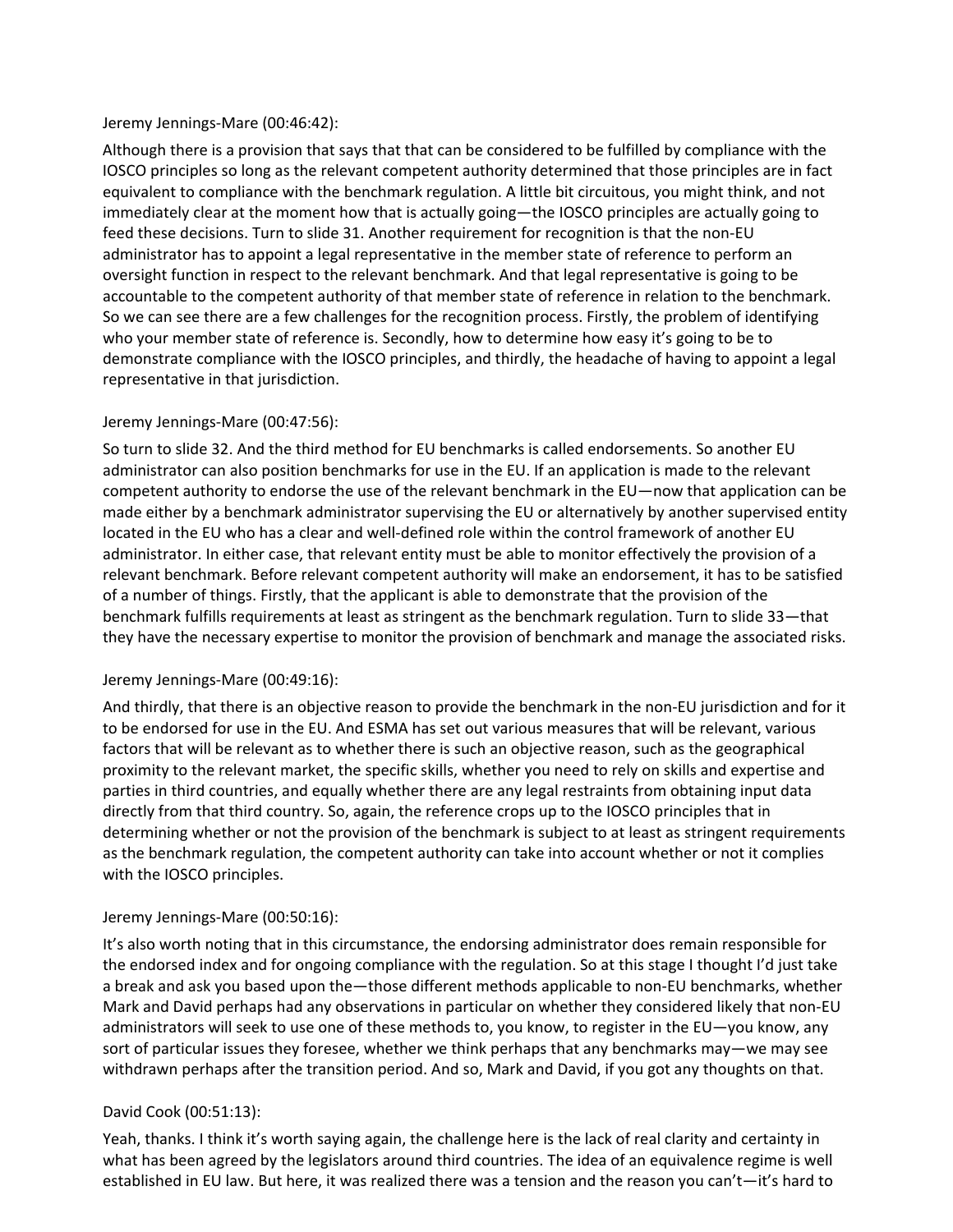#### Jeremy Jennings-Mare (00:46:42):

Although there is a provision that says that that can be considered to be fulfilled by compliance with the IOSCO principles so long as the relevant competent authority determined that those principles are in fact equivalent to compliance with the benchmark regulation. A little bit circuitous, you might think, and not immediately clear at the moment how that is actually going—the IOSCO principles are actually going to feed these decisions. Turn to slide 31. Another requirement for recognition is that the non-EU administrator has to appoint a legal representative in the member state of reference to perform an oversight function in respect to the relevant benchmark. And that legal representative is going to be accountable to the competent authority of that member state of reference in relation to the benchmark. So we can see there are a few challenges for the recognition process. Firstly, the problem of identifying who your member state of reference is. Secondly, how to determine how easy it's going to be to demonstrate compliance with the IOSCO principles, and thirdly, the headache of having to appoint a legal representative in that jurisdiction.

## Jeremy Jennings-Mare (00:47:56):

So turn to slide 32. And the third method for EU benchmarks is called endorsements. So another EU administrator can also position benchmarks for use in the EU. If an application is made to the relevant competent authority to endorse the use of the relevant benchmark in the EU—now that application can be made either by a benchmark administrator supervising the EU or alternatively by another supervised entity located in the EU who has a clear and well-defined role within the control framework of another EU administrator. In either case, that relevant entity must be able to monitor effectively the provision of a relevant benchmark. Before relevant competent authority will make an endorsement, it has to be satisfied of a number of things. Firstly, that the applicant is able to demonstrate that the provision of the benchmark fulfills requirements at least as stringent as the benchmark regulation. Turn to slide 33—that they have the necessary expertise to monitor the provision of benchmark and manage the associated risks.

## Jeremy Jennings-Mare (00:49:16):

And thirdly, that there is an objective reason to provide the benchmark in the non-EU jurisdiction and for it to be endorsed for use in the EU. And ESMA has set out various measures that will be relevant, various factors that will be relevant as to whether there is such an objective reason, such as the geographical proximity to the relevant market, the specific skills, whether you need to rely on skills and expertise and parties in third countries, and equally whether there are any legal restraints from obtaining input data directly from that third country. So, again, the reference crops up to the IOSCO principles that in determining whether or not the provision of the benchmark is subject to at least as stringent requirements as the benchmark regulation, the competent authority can take into account whether or not it complies with the IOSCO principles.

## Jeremy Jennings-Mare (00:50:16):

It's also worth noting that in this circumstance, the endorsing administrator does remain responsible for the endorsed index and for ongoing compliance with the regulation. So at this stage I thought I'd just take a break and ask you based upon the—those different methods applicable to non-EU benchmarks, whether Mark and David perhaps had any observations in particular on whether they considered likely that non-EU administrators will seek to use one of these methods to, you know, to register in the EU—you know, any sort of particular issues they foresee, whether we think perhaps that any benchmarks may—we may see withdrawn perhaps after the transition period. And so, Mark and David, if you got any thoughts on that.

# David Cook (00:51:13):

Yeah, thanks. I think it's worth saying again, the challenge here is the lack of real clarity and certainty in what has been agreed by the legislators around third countries. The idea of an equivalence regime is well established in EU law. But here, it was realized there was a tension and the reason you can't—it's hard to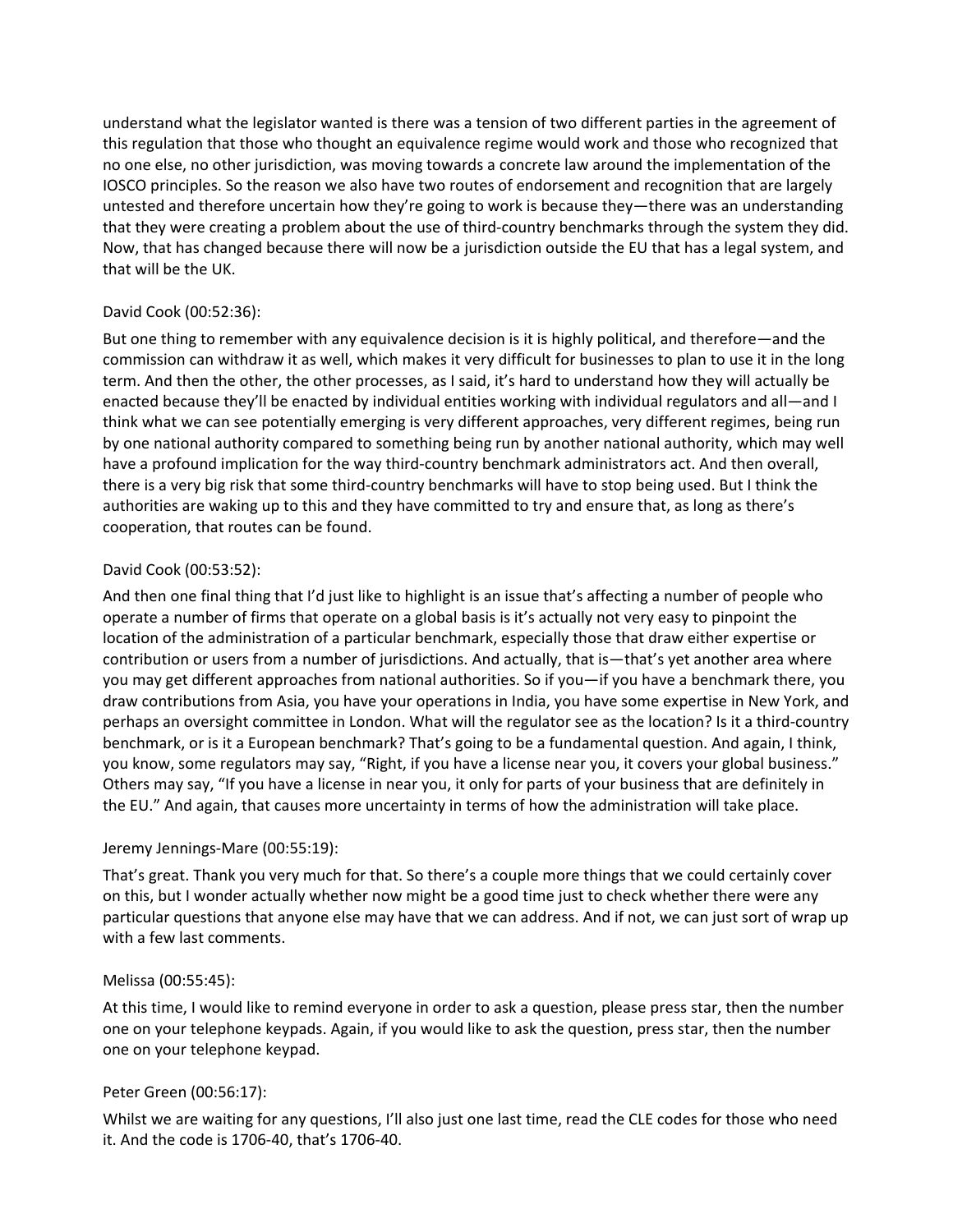understand what the legislator wanted is there was a tension of two different parties in the agreement of this regulation that those who thought an equivalence regime would work and those who recognized that no one else, no other jurisdiction, was moving towards a concrete law around the implementation of the IOSCO principles. So the reason we also have two routes of endorsement and recognition that are largely untested and therefore uncertain how they're going to work is because they—there was an understanding that they were creating a problem about the use of third-country benchmarks through the system they did. Now, that has changed because there will now be a jurisdiction outside the EU that has a legal system, and that will be the UK.

## David Cook (00:52:36):

But one thing to remember with any equivalence decision is it is highly political, and therefore—and the commission can withdraw it as well, which makes it very difficult for businesses to plan to use it in the long term. And then the other, the other processes, as I said, it's hard to understand how they will actually be enacted because they'll be enacted by individual entities working with individual regulators and all—and I think what we can see potentially emerging is very different approaches, very different regimes, being run by one national authority compared to something being run by another national authority, which may well have a profound implication for the way third-country benchmark administrators act. And then overall, there is a very big risk that some third-country benchmarks will have to stop being used. But I think the authorities are waking up to this and they have committed to try and ensure that, as long as there's cooperation, that routes can be found.

## David Cook (00:53:52):

And then one final thing that I'd just like to highlight is an issue that's affecting a number of people who operate a number of firms that operate on a global basis is it's actually not very easy to pinpoint the location of the administration of a particular benchmark, especially those that draw either expertise or contribution or users from a number of jurisdictions. And actually, that is—that's yet another area where you may get different approaches from national authorities. So if you—if you have a benchmark there, you draw contributions from Asia, you have your operations in India, you have some expertise in New York, and perhaps an oversight committee in London. What will the regulator see as the location? Is it a third-country benchmark, or is it a European benchmark? That's going to be a fundamental question. And again, I think, you know, some regulators may say, "Right, if you have a license near you, it covers your global business." Others may say, "If you have a license in near you, it only for parts of your business that are definitely in the EU." And again, that causes more uncertainty in terms of how the administration will take place.

## Jeremy Jennings-Mare (00:55:19):

That's great. Thank you very much for that. So there's a couple more things that we could certainly cover on this, but I wonder actually whether now might be a good time just to check whether there were any particular questions that anyone else may have that we can address. And if not, we can just sort of wrap up with a few last comments.

## Melissa (00:55:45):

At this time, I would like to remind everyone in order to ask a question, please press star, then the number one on your telephone keypads. Again, if you would like to ask the question, press star, then the number one on your telephone keypad.

# Peter Green (00:56:17):

Whilst we are waiting for any questions, I'll also just one last time, read the CLE codes for those who need it. And the code is 1706-40, that's 1706-40.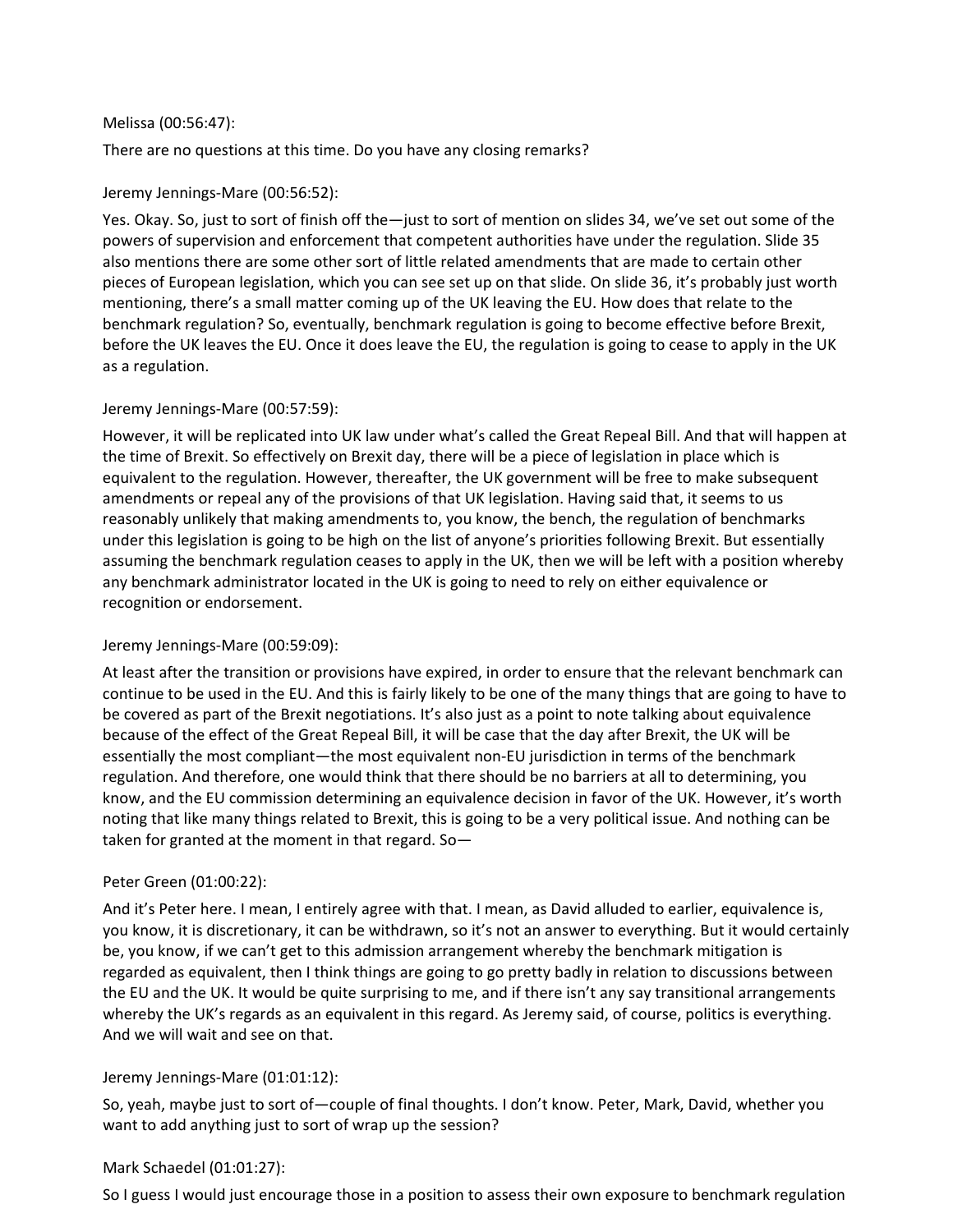#### Melissa (00:56:47):

There are no questions at this time. Do you have any closing remarks?

## Jeremy Jennings-Mare (00:56:52):

Yes. Okay. So, just to sort of finish off the—just to sort of mention on slides 34, we've set out some of the powers of supervision and enforcement that competent authorities have under the regulation. Slide 35 also mentions there are some other sort of little related amendments that are made to certain other pieces of European legislation, which you can see set up on that slide. On slide 36, it's probably just worth mentioning, there's a small matter coming up of the UK leaving the EU. How does that relate to the benchmark regulation? So, eventually, benchmark regulation is going to become effective before Brexit, before the UK leaves the EU. Once it does leave the EU, the regulation is going to cease to apply in the UK as a regulation.

## Jeremy Jennings-Mare (00:57:59):

However, it will be replicated into UK law under what's called the Great Repeal Bill. And that will happen at the time of Brexit. So effectively on Brexit day, there will be a piece of legislation in place which is equivalent to the regulation. However, thereafter, the UK government will be free to make subsequent amendments or repeal any of the provisions of that UK legislation. Having said that, it seems to us reasonably unlikely that making amendments to, you know, the bench, the regulation of benchmarks under this legislation is going to be high on the list of anyone's priorities following Brexit. But essentially assuming the benchmark regulation ceases to apply in the UK, then we will be left with a position whereby any benchmark administrator located in the UK is going to need to rely on either equivalence or recognition or endorsement.

## Jeremy Jennings-Mare (00:59:09):

At least after the transition or provisions have expired, in order to ensure that the relevant benchmark can continue to be used in the EU. And this is fairly likely to be one of the many things that are going to have to be covered as part of the Brexit negotiations. It's also just as a point to note talking about equivalence because of the effect of the Great Repeal Bill, it will be case that the day after Brexit, the UK will be essentially the most compliant—the most equivalent non-EU jurisdiction in terms of the benchmark regulation. And therefore, one would think that there should be no barriers at all to determining, you know, and the EU commission determining an equivalence decision in favor of the UK. However, it's worth noting that like many things related to Brexit, this is going to be a very political issue. And nothing can be taken for granted at the moment in that regard. So—

# Peter Green (01:00:22):

And it's Peter here. I mean, I entirely agree with that. I mean, as David alluded to earlier, equivalence is, you know, it is discretionary, it can be withdrawn, so it's not an answer to everything. But it would certainly be, you know, if we can't get to this admission arrangement whereby the benchmark mitigation is regarded as equivalent, then I think things are going to go pretty badly in relation to discussions between the EU and the UK. It would be quite surprising to me, and if there isn't any say transitional arrangements whereby the UK's regards as an equivalent in this regard. As Jeremy said, of course, politics is everything. And we will wait and see on that.

## Jeremy Jennings-Mare (01:01:12):

So, yeah, maybe just to sort of—couple of final thoughts. I don't know. Peter, Mark, David, whether you want to add anything just to sort of wrap up the session?

## Mark Schaedel (01:01:27):

So I guess I would just encourage those in a position to assess their own exposure to benchmark regulation